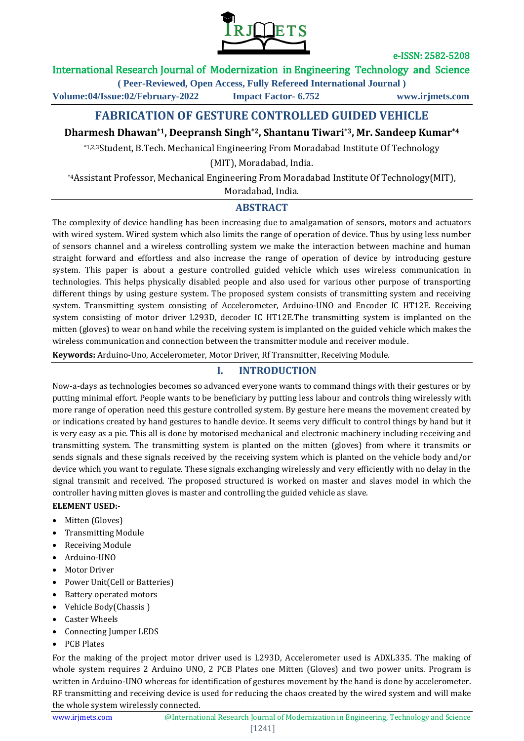

### International Research Journal of Modernization in Engineering Technology and Science

**( Peer-Reviewed, Open Access, Fully Refereed International Journal ) Volume:04/Issue:02/February-2022 Impact Factor- 6.752 www.irjmets.com**

# **FABRICATION OF GESTURE CONTROLLED GUIDED VEHICLE**

# **Dharmesh Dhawan\*1, Deepransh Singh\*2, Shantanu Tiwari\*3, Mr. Sandeep Kumar\*4**

\*1,2,3Student, B.Tech. Mechanical Engineering From Moradabad Institute Of Technology

(MIT), Moradabad, India.

\*4Assistant Professor, Mechanical Engineering From Moradabad Institute Of Technology(MIT), Moradabad, India.

### **ABSTRACT**

The complexity of device handling has been increasing due to amalgamation of sensors, motors and actuators with wired system. Wired system which also limits the range of operation of device. Thus by using less number of sensors channel and a wireless controlling system we make the interaction between machine and human straight forward and effortless and also increase the range of operation of device by introducing gesture system. This paper is about a gesture controlled guided vehicle which uses wireless communication in technologies. This helps physically disabled people and also used for various other purpose of transporting different things by using gesture system. The proposed system consists of transmitting system and receiving system. Transmitting system consisting of Accelerometer, Arduino-UNO and Encoder IC HT12E. Receiving system consisting of motor driver L293D, decoder IC HT12E.The transmitting system is implanted on the mitten (gloves) to wear on hand while the receiving system is implanted on the guided vehicle which makes the wireless communication and connection between the transmitter module and receiver module.

**Keywords:** Arduino-Uno, Accelerometer, Motor Driver, Rf Transmitter, Receiving Module.

## **I. INTRODUCTION**

Now-a-days as technologies becomes so advanced everyone wants to command things with their gestures or by putting minimal effort. People wants to be beneficiary by putting less labour and controls thing wirelessly with more range of operation need this gesture controlled system. By gesture here means the movement created by or indications created by hand gestures to handle device. It seems very difficult to control things by hand but it is very easy as a pie. This all is done by motorised mechanical and electronic machinery including receiving and transmitting system. The transmitting system is planted on the mitten (gloves) from where it transmits or sends signals and these signals received by the receiving system which is planted on the vehicle body and/or device which you want to regulate. These signals exchanging wirelessly and very efficiently with no delay in the signal transmit and received. The proposed structured is worked on master and slaves model in which the controller having mitten gloves is master and controlling the guided vehicle as slave.

### **ELEMENT USED:-**

- Mitten (Gloves)
- Transmitting Module
- Receiving Module
- Arduino-UNO
- Motor Driver
- Power Unit(Cell or Batteries)
- Battery operated motors
- Vehicle Body(Chassis )
- Caster Wheels
- Connecting Jumper LEDS
- PCB Plates

For the making of the project motor driver used is L293D, Accelerometer used is ADXL335. The making of whole system requires 2 Arduino UNO, 2 PCB Plates one Mitten (Gloves) and two power units. Program is written in Arduino-UNO whereas for identification of gestures movement by the hand is done by accelerometer. RF transmitting and receiving device is used for reducing the chaos created by the wired system and will make the whole system wirelessly connected.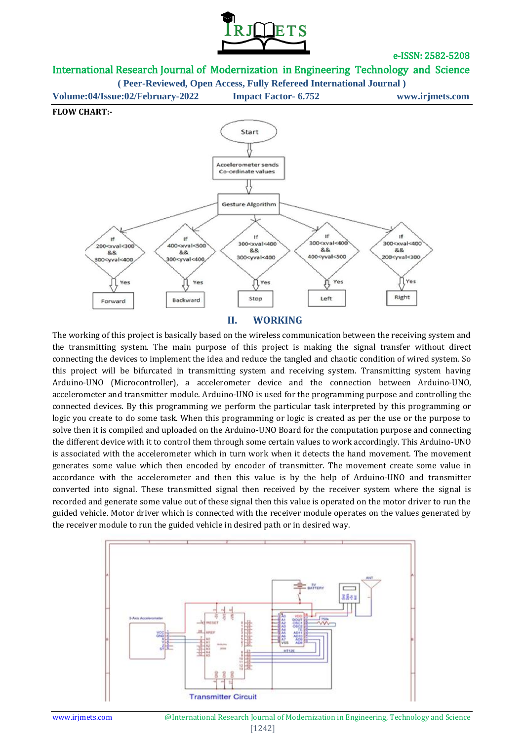

International Research Journal of Modernization in Engineering Technology and Science

**( Peer-Reviewed, Open Access, Fully Refereed International Journal )**





#### **II. WORKING**

The working of this project is basically based on the wireless communication between the receiving system and the transmitting system. The main purpose of this project is making the signal transfer without direct connecting the devices to implement the idea and reduce the tangled and chaotic condition of wired system. So this project will be bifurcated in transmitting system and receiving system. Transmitting system having Arduino-UNO (Microcontroller), a accelerometer device and the connection between Arduino-UNO, accelerometer and transmitter module. Arduino-UNO is used for the programming purpose and controlling the connected devices. By this programming we perform the particular task interpreted by this programming or logic you create to do some task. When this programming or logic is created as per the use or the purpose to solve then it is compiled and uploaded on the Arduino-UNO Board for the computation purpose and connecting the different device with it to control them through some certain values to work accordingly. This Arduino-UNO is associated with the accelerometer which in turn work when it detects the hand movement. The movement generates some value which then encoded by encoder of transmitter. The movement create some value in accordance with the accelerometer and then this value is by the help of Arduino-UNO and transmitter converted into signal. These transmitted signal then received by the receiver system where the signal is recorded and generate some value out of these signal then this value is operated on the motor driver to run the guided vehicle. Motor driver which is connected with the receiver module operates on the values generated by the receiver module to run the guided vehicle in desired path or in desired way.

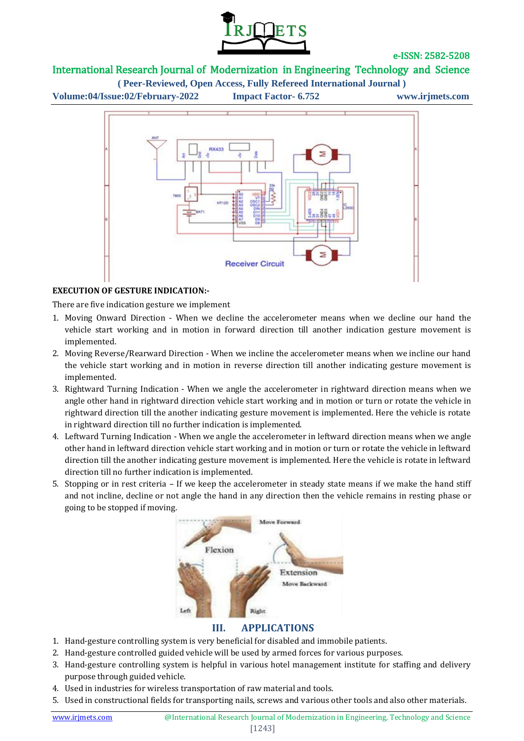

### International Research Journal of Modernization in Engineering Technology and Science

**( Peer-Reviewed, Open Access, Fully Refereed International Journal ) Volume:04/Issue:02/February-2022 Impact Factor- 6.752 www.irjmets.com**



### **EXECUTION OF GESTURE INDICATION:-**

There are five indication gesture we implement

- 1. Moving Onward Direction When we decline the accelerometer means when we decline our hand the vehicle start working and in motion in forward direction till another indication gesture movement is implemented.
- 2. Moving Reverse/Rearward Direction When we incline the accelerometer means when we incline our hand the vehicle start working and in motion in reverse direction till another indicating gesture movement is implemented.
- 3. Rightward Turning Indication When we angle the accelerometer in rightward direction means when we angle other hand in rightward direction vehicle start working and in motion or turn or rotate the vehicle in rightward direction till the another indicating gesture movement is implemented. Here the vehicle is rotate in rightward direction till no further indication is implemented.
- 4. Leftward Turning Indication When we angle the accelerometer in leftward direction means when we angle other hand in leftward direction vehicle start working and in motion or turn or rotate the vehicle in leftward direction till the another indicating gesture movement is implemented. Here the vehicle is rotate in leftward direction till no further indication is implemented.
- 5. Stopping or in rest criteria If we keep the accelerometer in steady state means if we make the hand stiff and not incline, decline or not angle the hand in any direction then the vehicle remains in resting phase or going to be stopped if moving.



### **III. APPLICATIONS**

- 1. Hand-gesture controlling system is very beneficial for disabled and immobile patients.
- 2. Hand-gesture controlled guided vehicle will be used by armed forces for various purposes.
- 3. Hand-gesture controlling system is helpful in various hotel management institute for staffing and delivery purpose through guided vehicle.
- 4. Used in industries for wireless transportation of raw material and tools.
- 5. Used in constructional fields for transporting nails, screws and various other tools and also other materials.

#### [1243]